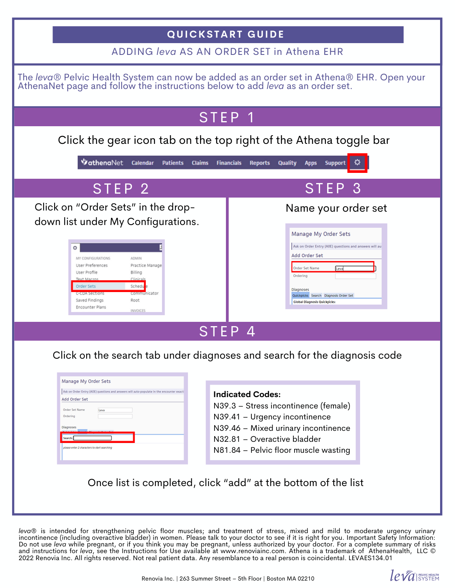| <b>QUICKSTART GUIDE</b>                                                                                                                                                                                                                                                                                                                                                                                                                                                                                                                                                                                                |                                                                                                                                                                                                                                                                          |
|------------------------------------------------------------------------------------------------------------------------------------------------------------------------------------------------------------------------------------------------------------------------------------------------------------------------------------------------------------------------------------------------------------------------------------------------------------------------------------------------------------------------------------------------------------------------------------------------------------------------|--------------------------------------------------------------------------------------------------------------------------------------------------------------------------------------------------------------------------------------------------------------------------|
| ADDING leva AS AN ORDER SET in Athena EHR                                                                                                                                                                                                                                                                                                                                                                                                                                                                                                                                                                              |                                                                                                                                                                                                                                                                          |
| The leva® Pelvic Health System can now be added as an order set in Athena® EHR. Open your AthenaNet page and follow the instructions below to add leva as an order set.                                                                                                                                                                                                                                                                                                                                                                                                                                                |                                                                                                                                                                                                                                                                          |
| STEP 1                                                                                                                                                                                                                                                                                                                                                                                                                                                                                                                                                                                                                 |                                                                                                                                                                                                                                                                          |
| Click the gear icon tab on the top right of the Athena toggle bar                                                                                                                                                                                                                                                                                                                                                                                                                                                                                                                                                      |                                                                                                                                                                                                                                                                          |
| <b>VathenaNet</b><br><b>Calendar</b><br><b>Patients</b><br><b>Claims</b><br><b>Financials</b><br><b>Quality</b><br><b>Support</b><br><b>Reports</b><br><b>Apps</b>                                                                                                                                                                                                                                                                                                                                                                                                                                                     |                                                                                                                                                                                                                                                                          |
| STEP <sub>2</sub>                                                                                                                                                                                                                                                                                                                                                                                                                                                                                                                                                                                                      | STEP 3                                                                                                                                                                                                                                                                   |
| Click on "Order Sets" in the drop-<br>down list under My Configurations.<br>٥<br>MY CONFIGURATIONS<br>ADMIN<br>User Preferences<br>Practice Manage<br>User Profile<br>Billing<br><b>Text Macros</b><br>Clinicals<br><b>Order Sets</b><br>Schedu<br>Communicator<br>C-CDA Sections<br>Saved Findings<br>Root<br>Encounter Plans<br><b>INVOICES</b>                                                                                                                                                                                                                                                                      | Name your order set<br>Manage My Order Sets<br>Ask on Order Entry (AOE) questions and answers will aut<br>Add Order Set<br><b>Order Set Name</b><br>Leva<br>Ordering<br><b>Diagnoses</b><br>Quickpicks Search Diagnosis Order Set<br><b>Global Diagnosis Quickpicks:</b> |
| STEP<br>4                                                                                                                                                                                                                                                                                                                                                                                                                                                                                                                                                                                                              |                                                                                                                                                                                                                                                                          |
| Click on the search tab under diagnoses and search for the diagnosis code<br>Manage My Order Sets<br>Ask on Order Entry (AOE) questions and answers will auto-populate in the encounter exact<br><b>Indicated Codes:</b><br>Add Order Set<br>N39.3 - Stress incontinence (female)<br><b>Order Set Name</b><br>Leva<br>N39.41 - Urgency incontinence<br>Ordering<br>N39.46 - Mixed urinary incontinence<br>Diagnoses<br>N32.81 - Overactive bladder<br>Search:<br>please enter 2 characters to start searching<br>N81.84 - Pelvic floor muscle wasting<br>Once list is completed, click "add" at the bottom of the list |                                                                                                                                                                                                                                                                          |

*leva*® is intended for strengthening pelvic floor muscles; and treatment of stress, mixed and mild to moderate urgency urinary incontinence (including overactive bladder) in women. Please talk to your doctor to see if it is right for you. Important Safety Information: Do not use *leva* while pregnant, or if you think you may be pregnant, unless authorized by your doctor. For a complete summary of risks and instructions for *leva*, see the Instructions for Use available at www.renoviainc.com. Athena is a trademark of AthenaHealth, LLC © 2022 Renovia Inc. All rights reserved. Not real patient data. Any resemblance to a real person is coincidental. LEVAES134.01

 $leq$   $a$  is  $n = 1$